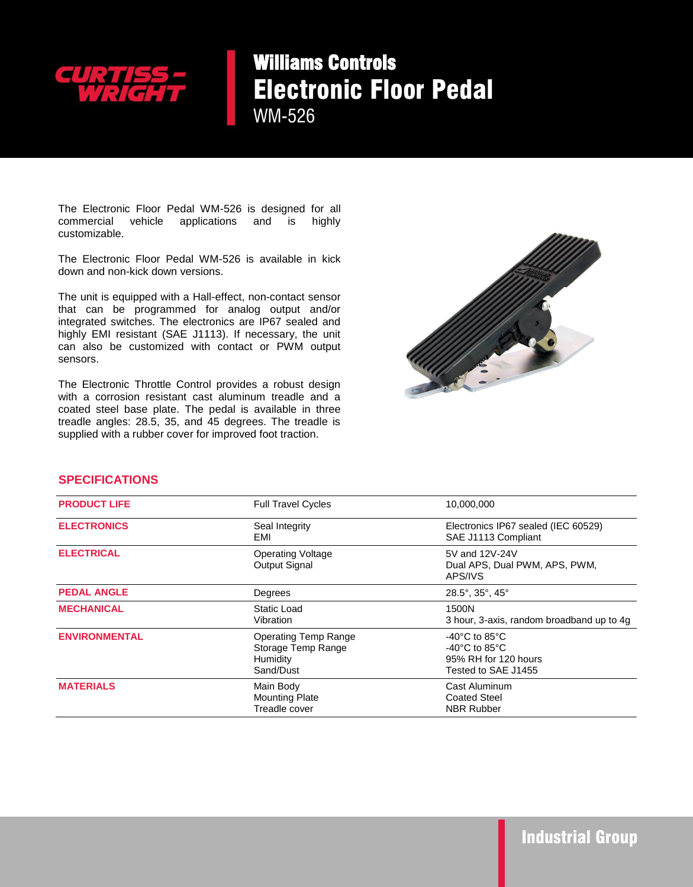

## Williams Controls Electronic Floor Pedal WM-526

The Electronic Floor Pedal WM-526 is designed for all commercial vehicle applications and is highly customizable.

The Electronic Floor Pedal WM-526 is available in kick down and non-kick down versions.

The unit is equipped with a Hall-effect, non-contact sensor that can be programmed for analog output and/or integrated switches. The electronics are IP67 sealed and highly EMI resistant (SAE J1113). If necessary, the unit can also be customized with contact or PWM output sensors.

The Electronic Throttle Control provides a robust design with a corrosion resistant cast aluminum treadle and a coated steel base plate. The pedal is available in three treadle angles: 28.5, 35, and 45 degrees. The treadle is supplied with a rubber cover for improved foot traction.



## **SPECIFICATIONS**

| <b>PRODUCT LIFE</b>  | <b>Full Travel Cycles</b>                                                  | 10,000,000                                                                                                              |
|----------------------|----------------------------------------------------------------------------|-------------------------------------------------------------------------------------------------------------------------|
| <b>ELECTRONICS</b>   | Seal Integrity<br>EMI                                                      | Electronics IP67 sealed (IEC 60529)<br>SAE J1113 Compliant                                                              |
| <b>ELECTRICAL</b>    | <b>Operating Voltage</b><br>Output Signal                                  | 5V and 12V-24V<br>Dual APS, Dual PWM, APS, PWM,<br>APS/IVS                                                              |
| <b>PEDAL ANGLE</b>   | Degrees                                                                    | $28.5^\circ$ , $35^\circ$ , $45^\circ$                                                                                  |
| <b>MECHANICAL</b>    | Static Load<br>Vibration                                                   | 1500N<br>3 hour, 3-axis, random broadband up to 4g                                                                      |
| <b>ENVIRONMENTAL</b> | <b>Operating Temp Range</b><br>Storage Temp Range<br>Humidity<br>Sand/Dust | $-40^{\circ}$ C to 85 $^{\circ}$ C<br>$-40^{\circ}$ C to 85 $^{\circ}$ C<br>95% RH for 120 hours<br>Tested to SAE J1455 |
| <b>MATERIALS</b>     | Main Body<br><b>Mounting Plate</b><br>Treadle cover                        | Cast Aluminum<br><b>Coated Steel</b><br><b>NBR Rubber</b>                                                               |